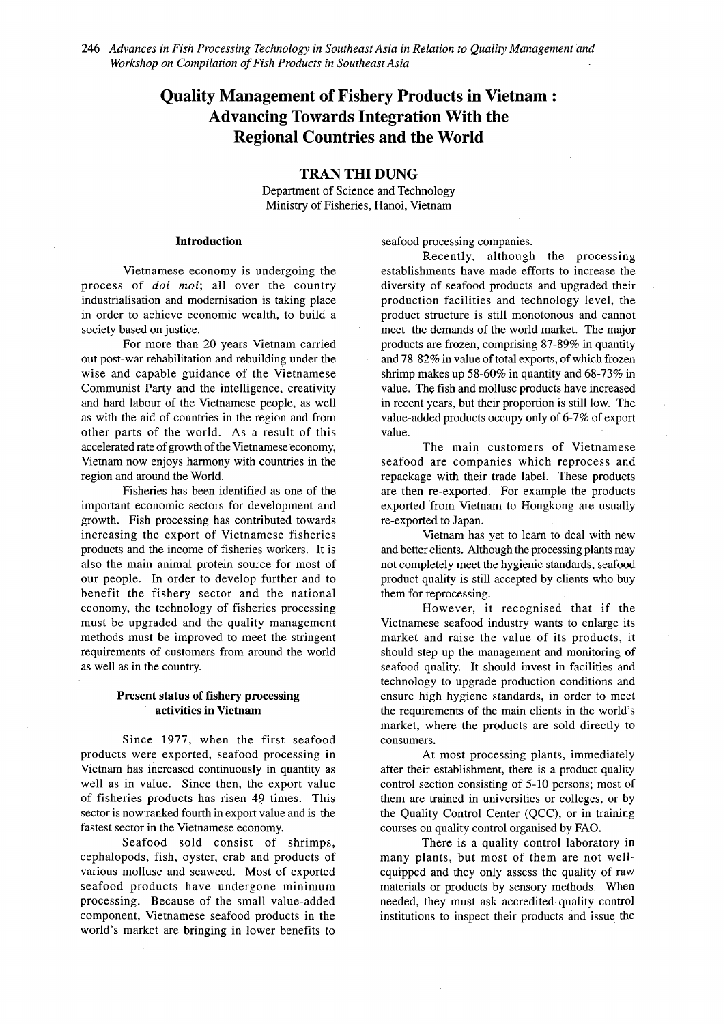# **Quality Management of Fishery Products in Vietnam : Advancing Towards Integration With the Regional Countries and the World**

## **TRAN THI DUNG**

Department of Science and Technology Ministry of Fisheries, Hanoi, Vietnam

## **Introduction**

Vietnamese economy is undergoing the process of *doi moi*; all over the country industrialisation and modernisation is taking place in order to achieve economic wealth, to build a society based on justice.

For more than 20 years Vietnam carried out post-war rehabilitation and rebuilding under the wise and capable guidance of the Vietnamese Communist Party and the intelligence, creativity and hard labour of the Vietnamese people, as well as with the aid of countries in the region and from other parts of the world. As a result of this accelerated rate of growth of the Vietnamese economy, Vietnam now enjoys harmony with countries in the region and around the World.

Fisheries has been identified as one of the important economic sectors for development and growth. Fish processing has contributed towards increasing the export of Vietnamese fisheries products and the income of fisheries workers. It is also the main animal protein source for most of our people. In order to develop further and to benefit the fishery sector and the national economy, the technology of fisheries processing must be upgraded and the quality management methods must be improved to meet the stringent requirements of customers from around the world as well as in the country.

## **Present status of fishery processing activities in Vietnam**

Since 1977, when the first seafood products were exported, seafood processing in Vietnam has increased continuously in quantity as well as in value. Since then, the export value of fisheries products has risen 49 times. This sector is now ranked fourth in export value and is the fastest sector in the Vietnamese economy.

Seafood sold consist of shrimps, cephalopods, fish, oyster, crab and products of various mollusc and seaweed. Most of exported seafood products have undergone minimum processing. Because of the small value-added component, Vietnamese seafood products in the world's market are bringing in lower benefits to

seafood processing companies.

Recently, although the processing establishments have made efforts to increase the diversity of seafood products and upgraded their production facilities and technology level, the product structure is still monotonous and cannot meet the demands of the world market. The major products are frozen, comprising 87-89% in quantity and 78-82% in value of total exports, of which frozen shrimp makes up 58-60% in quantity and 68-73% in value. The fish and mollusc products have increased in recent years, but their proportion is still low. The value-added products occupy only of 6-7% of export value.

The main customers of Vietnamese seafood are companies which reprocess and repackage with their trade label. These products are then re-exported. For example the products exported from Vietnam to Hongkong are usually re-exported to Japan.

Vietnam has yet to learn to deal with new and better clients. Although the processing plants may not completely meet the hygienic standards, seafood product quality is still accepted by clients who buy them for reprocessing.

However, it recognised that if the Vietnamese seafood industry wants to enlarge its market and raise the value of its products, it should step up the management and monitoring of seafood quality. It should invest in facilities and technology to upgrade production conditions and ensure high hygiene standards, in order to meet the requirements of the main clients in the world's market, where the products are sold directly to consumers.

At most processing plants, immediately after their establishment, there is a product quality control section consisting of 5-10 persons; most of them are trained in universities or colleges, or by the Quality Control Center (QCC), or in training courses on quality control organised by FAO.

There is a quality control laboratory in many plants, but most of them are not wellequipped and they only assess the quality of raw materials or products by sensory methods. When needed, they must ask accredited quality control institutions to inspect their products and issue the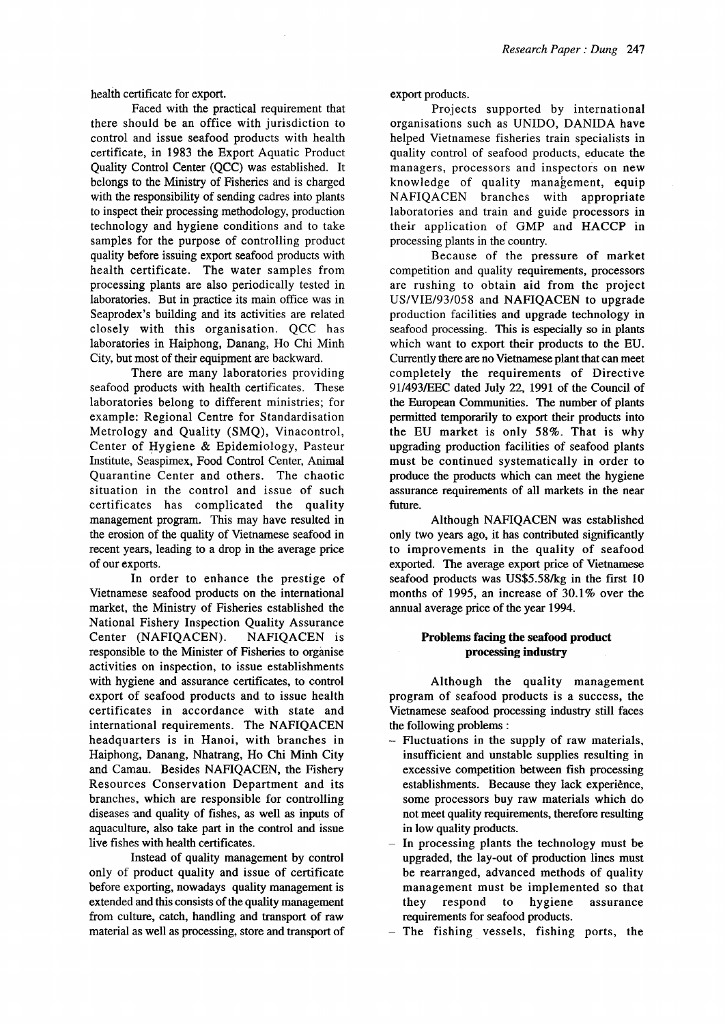health certificate for export.

Faced with the practical requirement that there should be an office with jurisdiction to control and issue seafood products with health certificate, in 1983 the Export Aquatic Product Quality Control Center (QCC) was established. It belongs to the Ministry of Fisheries and is charged with the responsibility of sending cadres into plants to inspect their processing methodology, production technology and hygiene conditions and to take samples for the purpose of controlling product quality before issuing export seafood products with health certificate. The water samples from processing plants are also periodically tested in laboratories. But in practice its main office was in Seaprodex's building and its activities are related closely with this organisation. QCC has laboratories in Haiphong, Danang, Ho Chi Minh City, but most of their equipment are backward.

There are many laboratories providing seafood products with health certificates. These laboratories belong to different ministries; for example: Regional Centre for Standardisation Metrology and Quality (SMQ), Vinacontrol, Center of Hygiene & Epidemiology, Pasteur Institute, Seaspimex, Food Control Center, Animal Quarantine Center and others. The chaotic situation in the control and issue of such certificates has complicated the quality management program. This may have resulted in the erosion of the quality of Vietnamese seafood in recent years, leading to a drop in the average price of our exports.

In order to enhance the prestige of Vietnamese seafood products on the international market, the Ministry of Fisheries established the National Fishery Inspection Quality Assurance Center (NAFIQACEN). NAFIQACEN is responsible to the Minister of Fisheries to organise activities on inspection, to issue establishments with hygiene and assurance certificates, to control export of seafood products and to issue health certificates in accordance with state and international requirements. The NAFIQACEN headquarters is in Hanoi, with branches in Haiphong, Danang, Nhatrang, Ho Chi Minh City and Camau. Besides NAFIQACEN, the Fishery Resources Conservation Department and its branches, which are responsible for controlling diseases and quality of fishes, as well as inputs of aquaculture, also take part in the control and issue live fishes with health certificates.

Instead of quality management by control only of product quality and issue of certificate before exporting, nowadays quality management is extended and this consists of the quality management from culture, catch, handling and transport of raw material as well as processing, store and transport of export products.

Projects supported by international organisations such as UNIDO, DANIDA have helped Vietnamese fisheries train specialists in quality control of seafood products, educate the managers, processors and inspectors on new knowledge of quality management, equip NAFIQACEN branches with appropriate laboratories and train and guide processors in their application of GMP and HACCP in processing plants in the country.

Because of the pressure of market competition and quality requirements, processors are rushing to obtain aid from the project US/VIE/93/058 and NAFIQACEN to upgrade production facilities and upgrade technology in seafood processing. This is especially so in plants which want to export their products to the EU. Currently there are no Vietnamese plant that can meet completely the requirements of Directive 91/493/EEC dated July 22, 1991 of the Council of the European Communities. The number of plants permitted temporarily to export their products into the EU market is only 58%. That is why upgrading production facilities of seafood plants must be continued systematically in order to produce the products which can meet the hygiene assurance requirements of all markets in the near future.

Although NAFIQACEN was established only two years ago, it has contributed significantly to improvements in the quality of seafood exported. The average export price of Vietnamese seafood products was US\$5.58/kg in the first 10 months of 1995, an increase of 30.1% over the annual average price of the year 1994.

## **Problems facing the seafood product processing industry**

Although the quality management program of seafood products is a success, the Vietnamese seafood processing industry still faces the following problems:

- Fluctuations in the supply of raw materials, insufficient and unstable supplies resulting in excessive competition between fish processing establishments. Because they lack experience, some processors buy raw materials which do not meet quality requirements, therefore resulting in low quality products.
- In processing plants the technology must be upgraded, the lay-out of production lines must be rearranged, advanced methods of quality management must be implemented so that they respond to hygiene assurance requirements for seafood products.
- The fishing vessels, fishing ports, the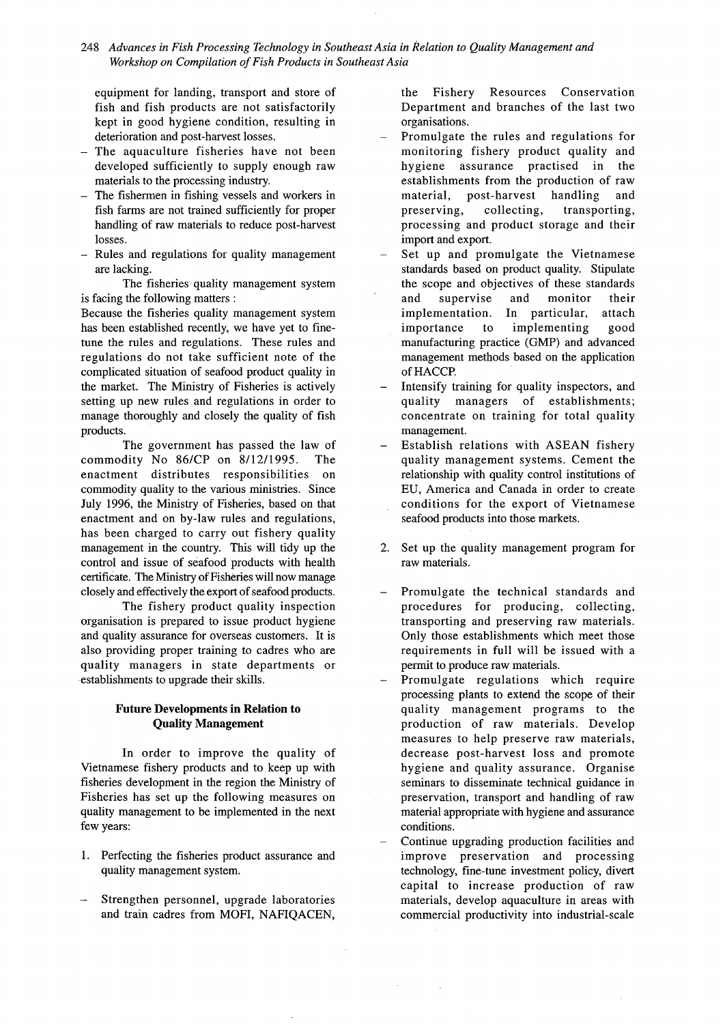## 248 *Advances in Fish Processing Technology in Southeast Asia in Relation to Quality Management and* **Workshop on Compilation of Fish Products in Southeast Asia**

equipment for landing, transport and store of fish and fish products are not satisfactorily kept in good hygiene condition, resulting in deterioration and post-harvest losses.

- The aquaculture fisheries have not been developed sufficiently to supply enough raw materials to the processing industry.
- The fishermen in fishing vessels and workers in fish farms are not trained sufficiently for proper handling of raw materials to reduce post-harvest losses.
- Rules and regulations for quality management are lacking.

The fisheries quality management system is facing the following matters :

Because the fisheries quality management system has been established recently, we have yet to finetune the rules and regulations. These rules and regulations do not take sufficient note of the complicated situation of seafood product quality in the market. The Ministry of Fisheries is actively setting up new rules and regulations in order to manage thoroughly and closely the quality of fish products.

The government has passed the law of commodity No  $86/CP$  on  $8/12/1995$ . The enactment distributes responsibilities on commodity quality to the various ministries. Since July 1996, the Ministry of Fisheries, based on that enactment and on by-law rules and regulations, has been charged to carry out fishery quality management in the country. This will tidy up the control and issue of seafood products with health certificate. The Ministry of Fisheries will now manage closely and effectively the export of seafood products.

The fishery product quality inspection organisation is prepared to issue product hygiene and quality assurance for overseas customers. It is also providing proper training to cadres who are quality managers in state departments or establishments to upgrade their skills.

## **Future Developments in Relation to Quality Management**

In order to improve the quality of Vietnamese fishery products and to keep up with fisheries development in the region the Ministry of Fisheries has set up the following measures on quality management to be implemented in the next few years:

- 1. Perfecting the fisheries product assurance and quality management system.
- Strengthen personnel, upgrade laboratories and train cadres from MOFI, NAFIQACEN,

the Fishery Resources Conservation Department and branches of the last two organisations.

- Promulgate the rules and regulations for monitoring fishery product quality and hygiene assurance practised in the establishments from the production of raw m aterial, post-harvest handling and preserving, collecting, transporting, processing and product storage and their import and export.
- Set up and promulgate the Vietnamese standards based on product quality. Stipulate the scope and objectives of these standards and supervise and monitor their implementation. In particular, attach importance to implementing good manufacturing practice (GMP) and advanced management methods based on the application of HACCP.
- Intensify training for quality inspectors, and quality managers of establishments; concentrate on training for total quality management.
- Establish relations with ASEAN fishery quality management systems. Cement the relationship with quality control institutions of EU, America and Canada in order to create conditions for the export of Vietnamese seafood products into those markets.
- 2. Set up the quality management program for raw materials.
- Promulgate the technical standards and procedures for producing, collecting, transporting and preserving raw materials. Only those establishments which meet those requirements in full will be issued with a permit to produce raw materials.
- Promulgate regulations which require processing plants to extend the scope of their quality management programs to the production of raw materials. Develop measures to help preserve raw materials, decrease post-harvest loss and promote hygiene and quality assurance. Organise seminars to disseminate technical guidance in preservation, transport and handling of raw material appropriate with hygiene and assurance conditions.
- Continue upgrading production facilities and improve preservation and processing technology, fine-tune investment policy, divert capital to increase production of raw materials, develop aquaculture in areas with commercial productivity into industrial-scale